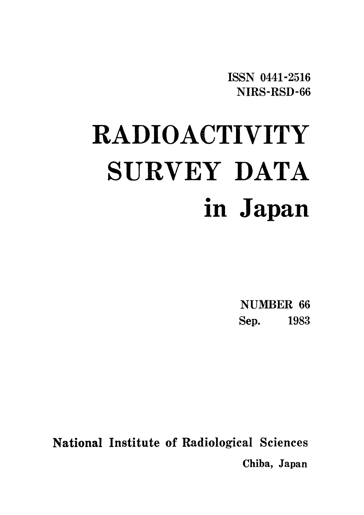ISSN 0441-2516 NIRS-RSD-66

# **RADIOACTIVITY** SURVEY DATA in Japan

NUMBER 66 Sep. 1983

**National Institute of Radiological Sciences** Chiba, Japan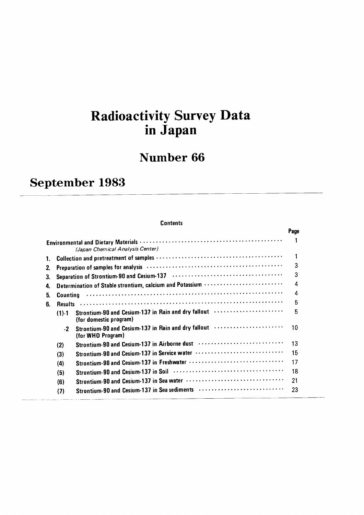# **Radioactivity Survey Data<br>in Japan**

# **Number 66**

# September 1983

#### **Contents**

|    |                 |                                                                                                                 | Page |
|----|-----------------|-----------------------------------------------------------------------------------------------------------------|------|
|    |                 | (Japan Chemical Analysis Center)                                                                                |      |
| 1. |                 |                                                                                                                 | 1    |
| 2. |                 |                                                                                                                 | 3    |
| З. |                 |                                                                                                                 | 3    |
| 4. |                 | Determination of Stable strontium, calcium and Potassium                                                        | 4    |
| 5. | <b>Counting</b> |                                                                                                                 | 4    |
| 6. | <b>Results</b>  |                                                                                                                 | 5    |
|    | $(1) - 1$       | Strontium-90 and Cesium-137 in Rain and dry fallout<br>(for domestic program)                                   | 5    |
|    | $-2$            | Strontium-90 and Cesium-137 in Rain and dry fallout (and the continuum of the Strontium of<br>(for WHO Program) | 10   |
|    | (2)             | Strontium-90 and Cesium-137 in Airborne dust                                                                    | 13   |
|    | (3)             | Strontium-90 and Cesium-137 in Service water                                                                    | 15   |
|    | (4)             |                                                                                                                 | 17   |
|    | (5)             |                                                                                                                 | 18   |
|    | (6)             |                                                                                                                 | 21   |
|    | (7)             | Strontium-90 and Cesium-137 in Sea sediments                                                                    | 23   |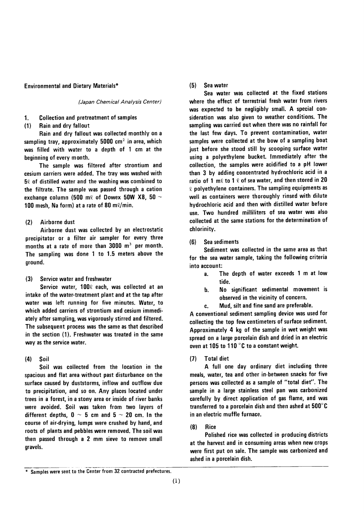#### **Environmental and Dietary Materials\***

(Japan Chemical Analysis Center)

#### **Collection and pretreatment of samples** 1.

#### Rain and dry fallout  $(1)$

Rain and dry fallout was collected monthly on a sampling tray, approximately  $5000$  cm<sup>2</sup> in area, which was filled with water to a depth of 1 cm at the beginning of every month.

The sample was filtered after strontium and cesium carriers were added. The tray was washed with  $50$  of distilled water and the washing was combined to the filtrate. The sample was passed through a cation exchange column (500 m $\ell$  of Dowex 50W X8, 50  $\sim$ 100 mesh, Na form) at a rate of 80 m $\ell$ /min.

#### $(2)$ Airborne dust

Airborne dust was collected by an electrostatic precipitator or a filter air sampler for every three months at a rate of more than 3000 m<sup>3</sup> per month. The sampling was done 1 to 1.5 meters above the ground.

Service water and freshwater  $(3)$ 

Service water, 1000 each, was collected at an intake of the water-treatment plant and at the tap after water was left running for five minutes. Water, to which added carriers of strontium and cesium immediately after sampling, was vigorously stirred and filtered. The subsequent process was the same as that described in the section (1). Freshwater was treated in the same way as the service water.

#### $(4)$ Soil

Soil was collected from the location in the spacious and flat area without past disturbance on the surface caused by duststorms, inflow and outflow due to precipitation, and so on. Any places located under trees in a forest, in a stony area or inside of river banks were avoided. Soil was taken from two layers of different depths,  $0 \sim 5$  cm and  $5 \sim 20$  cm. In the course of air-drying, lumps were crushed by hand, and roots of plants and pebbles were removed. The soil was then passed through a 2 mm sieve to remove small gravels.

#### $(5)$ Sea water

Sea water was collected at the fixed stations where the effect of terrestrial fresh water from rivers was expected to be negligibly small. A special consideration was also given to weather conditions. The sampling was carried out when there was no rainfall for the last few days. To prevent contamination, water samples were collected at the bow of a sampling boat just before she stood still by scooping surface water using a polyethylene bucket. Immediately after the collection, the samples were acidified to a pH lower than 3 by adding concentrated hydrochloric acid in a ratio of 1 m $\ell$  to 1  $\ell$  of sea water, and then stored in 20  $\ell$  polyethylene containers. The sampling equipments as well as containers were thoroughly rinsed with dilute hydrochloric acid and then with distilled water before use. Two hundred milliliters of sea water was also collected at the same stations for the determination of chlorinity.

#### Sea sediments  $(6)$

Sediment was collected in the same area as that for the sea water sample, taking the following criteria into account:

- The depth of water exceeds 1 m at low  $a$ . tide.
- No significant sedimental movement is b. observed in the vicinity of concern.
- Mud, silt and fine sand are preferable. c.

A conventional sediment sampling device was used for collecting the top few centimeters of surface sediment. Approximately 4 kg of the sample in wet weight was spread on a large porcelain dish and dried in an electric oven at 105 to 110 °C to a constant weight.

#### **Total diet**  $(7)$

A full one day ordinary diet including three meals, water, tea and other in-between snacks for five persons was collected as a sample of "total diet". The sample in a large stainless steel pan was carbonized carefully by direct application of gas flame, and was transferred to a porcelain dish and then ashed at 500°C in an electric muffle furnace.

#### $(8)$ Rice

Polished rice was collected in producing districts at the harvest and in consuming areas when new crops were first put on sale. The sample was carbonized and ashed in a porcelain dish.

<sup>\*</sup> Samples were sent to the Center from 32 contracted prefectures.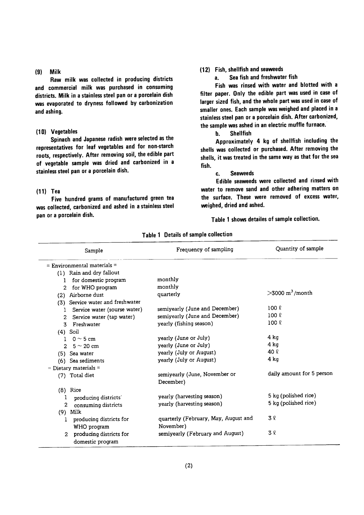#### $(9)$  Milk

Raw milk was collected in producing districts and commercial milk was purchased in consuming districts. Milk in a stainless steel pan or a porcelain dish was evaporated to dryness followed by carbonization and ashing.

#### (10) Vegetables

Spinach and Japanese radish were selected as the representatives for leaf vegetables and for non-starch roots, respectively. After removing soil, the edible part of vegetable sample was dried and carbonized in a stainless steel pan or a porcelain dish.

#### $(11)$  Tea

Five hundred grams of manufactured green tea was collected, carbonized and ashed in a stainless steel pan or a porcelain dish.

## (12) Fish, shellfish and seaweeds

Sea fish and freshwater fish a.

Fish was rinsed with water and blotted with a filter paper. Only the edible part was used in case of larger sized fish, and the whole part was used in case of smaller ones. Each sample was weighed and placed in a stainless steel pan or a porcelain dish. After carbonized, the sample was ashed in an electric muffle furnace.

> **Shellfish**  $\mathbf{h}$ .

Approximately 4 kg of shellfish including the shells was collected or purchased. After removing the shells, it was treated in the same way as that for the sea fish.

#### **Seaweeds** c.

Edible seaweeds were collected and rinsed with water to remove sand and other adhering matters on the surface. These were removed of excess water, weighed, dried and ashed.

Table 1 shows detailes of sample collection.

| Sample                                                        | Frequency of sampling                      | Quantity of sample            |
|---------------------------------------------------------------|--------------------------------------------|-------------------------------|
| $=$ Environmental materials $=$                               |                                            |                               |
| (1) Rain and dry fallout                                      |                                            |                               |
| for domestic program<br>1                                     | monthly                                    |                               |
| for WHO program<br>2                                          | monthly                                    |                               |
| Airborne dust<br>(2)                                          | quarterly                                  | $>3000$ m <sup>3</sup> /month |
| Service water and freshwater<br>(3)                           |                                            |                               |
| Service water (sourse water)<br>1.                            | semiyearly (June and December)             | $100 \ell$                    |
| Service water (tap water)<br>$\mathbf{2}$                     | semiyearly (June and December)             | $100 \ell$                    |
| Freshwater<br>3                                               | yearly (fishing season)                    | $100 \ell$                    |
| $(4)$ Soil                                                    |                                            |                               |
| $0 \sim 5$ cm<br>$\mathbf{I}$                                 | yearly (June or July)                      | 4 kg                          |
| $5 \sim 20$ cm<br>$2^{\circ}$                                 | yearly (June or July)                      | 4 kg                          |
| (5) Sea water                                                 | yearly (July or August)                    | 40 R                          |
| (6) Sea sediments                                             | yearly (July or August)                    | 4 kg                          |
| $=$ Dietary materials $=$                                     |                                            |                               |
| (7) Total diet                                                | semiyearly (June, November or<br>December) | daily amount for 5 person     |
| $(8)$ Rice                                                    |                                            |                               |
| producing districts                                           | yearly (harvesting season)                 | 5 kg (polished rice)          |
| $\overline{2}$<br>consuming districts                         | yearly (harvesting season)                 | 5 kg (polished rice)          |
| $(9)$ Milk                                                    |                                            |                               |
| producing districts for<br>1                                  | quarterly (February, May, August and       | 3 R                           |
| WHO program                                                   | November)                                  |                               |
| producing districts for<br>$\mathfrak{D}$<br>domestic program | semiyearly (February and August)           | 3 Q                           |

Table 1 Details of sample collection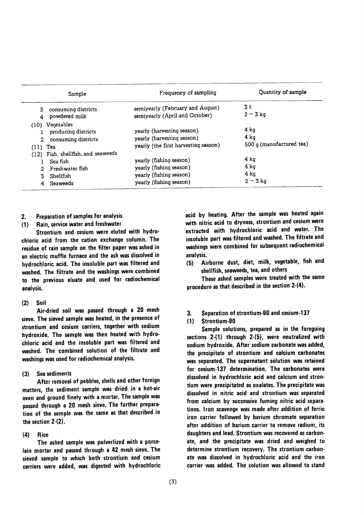| Sample                                                                                     | Frequency of sampling                                                                                    | Quantity of sample                       |
|--------------------------------------------------------------------------------------------|----------------------------------------------------------------------------------------------------------|------------------------------------------|
| consuming districts<br>3.<br>powdered milk                                                 | semiyearly (February and August)<br>semiyearly (April and October)                                       | 3 R<br>$2 \sim 3$ kg                     |
| (10) Vegetables<br>producing districts<br>consuming districts<br>2<br>$(11)$ Tea           | yearly (harvesting season)<br>yearly (harvesting season)<br>yearly (the first harvesting season)         | 4 ka<br>4 ka<br>500 g (manufactured tea) |
| (12) Fish, shellfish, and seaweeds<br>Sea fish<br>Freshwater fish<br>Shellfish<br>Seaweeds | yearly (fishing season)<br>yearly (fishing season)<br>yearly (fishing season)<br>yearly (fishing season) | 4 ka<br>4 ka<br>4 ka<br>$2 \sim 3$ kg    |

## 2. Preparation of samples for analysis

(1) Rain, service water and freshwater

Strontium and cesium were eluted with hydrochloric acid from the cation exchange column. The residue of rain sample on the filter paper was ashed in an electric muffle furnace and the ash was dissolved in hydrochloric acid. The insoluble part was filtered and washed. The filtrate and the washings were combined to the previous eluate and used for radiochemicaI analysis.

#### $(2)$  Soil

Air-dried soil was passed through a 20 mesh sieve. The sieved sample was heated, in the presence of strontium and cesium carriers, together with sodium hydroxide. The sample was then heated with hydrochloric acid and the insoluble part was filtered and washed. The combined solution of the filtrate and washings was used for radiochemical analysis.

#### Sea sediments  $(3)$

After removal of pebbles, shells and other foreign matters, the sediment sample was dried in a hot-air oven and ground finely with a mortar. The sample was passed through a 20 mesh sieve. The further preparation of the sample was the same as that described in the section  $2-(2)$ .

#### $(4)$ **Rice**

The ashed sample was pulverlized with a porcelain mortar and passed through a 42 mesh sieve. The sieved sample to which both strontium and cesium carriers were added, was digested with hydrochloric acid by heating. After the sample was heated again with nitric acid to dryness, strontium and cesium were extracted with hydrochloric acid and water. The insoluble part was filtered and washed. The filtrate and washings were combined for subsequent radiochemical analysis.

(5) Airborne dust, diet, milk, vegetable, fish and shellfish, seaweeds, tea, and others

These ashed samples were treated with the same procedure as that described in the section 2-(4).

### 3. Separation of strontium-90 and cesium-137

#### $(1)$ Strontium・90

Sample solutions, prepared as in the foregoing sections  $2-(1)$  through  $2-(5)$ , were neutralized with sodium hydroxide. After sodium carbonate was added, the precipitate of strontium and calcium carbonates was separated. The supernatant solution was retained for cesium-137 determination. The carbonates were dissolved in hydrochloric acid and calcium and strontium were precipitated as oxalates. The precipitate was dissolved in nitric acid and strontium was separated from calcium by successive fuming nitric acid separations. Iron scavenge was made after addition of ferric iron carrier followed by barium chromate separation after addition of barium carrier to remove radium, its daughters and lead. Strontium was recovered as carbonate, and the precipitate was dried and weighed to determine strontium recovery. The strontium carbonate was dissolved in hydrochloric acid and the iron carrier was added. The solution was allowed to stand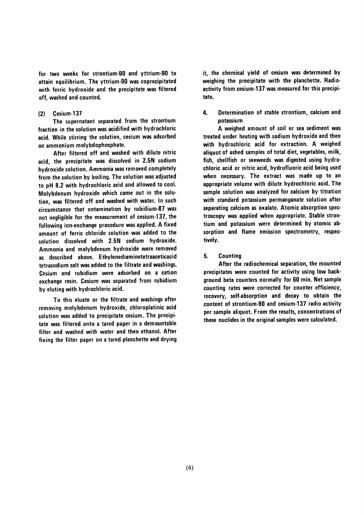for two weeks for strontium-90 and yttrium-90 to attain equilibrium. The yttrium-90 was coprecipitated with ferric hydroxide and the precipitate was filtered off, washed and counted.

#### Cesium-137  $(2)$

The supernatant separated from the strontium fraction in the solution was acidified with hydrochloric acid. While stirring the solution, cesium was adsorbed on ammonium molybdophosphate.

After filtered off and washed with dilute nitric acid, the precipitate was dissolved in 2.5N sodium hydroxide solution. Ammonia was removed completely from the solution by boiling. The solution was adjusted to pH 8.2 with hydrochloric acid and allowed to cool. Molybdenum hydroxide which came out in the solution, was filtered off and washed with water. In such circumstance that ontamination by rubidium-87 was not negligible for the measurement of cesium-137, the following ion-exchange procedure was applied. A fixed amount of ferric chloride solution was added to the solution dissolved with 2.5N sodium hydroxide. Ammonia and molybdenum hydroxide were removed as described above. Ethylenediaminetetraaceticacid tetrasodium salt was added to the filtrate and washings. Cesium and rubidium were adsorbed on a cation exchange resin. Cesium was separated from rubidium by eluting with hydrochloric acid.

To this eluate or the filtrate and washings after removing molybdenum hydroxide, chloroplatinic acid solution was added to precipitate cesium. The precipitate was filtered onto a tared paper in a demountable filter and washed with water and then ethanol. After fixing the filter paper on a tared planchette and drying it, the chemical yield of cesium was determined by weighing the precipitate with the planchette. Radioactivity from cesium-137 was measured for this precipitate.

4. Determination of stable strontium, calcium and potassium

A weighed amount of soil or sea sediment was treated under heating with sodium hydroxide and then with hydrochloric acid for extraction. A weighed aliguot of ashed samples of total diet, vegetables, milk, fish, shellfish or seeweeds was digested using hydrochloric acid or nitric acid, hydrofluoric acid being used when necessary. The extract was made up to an appropriate volume with dilute hydrochloric acid. The sample solution was analyzed for calcium by titration with standard potassium permanganate solution after separating calcium as oxalate. Atomic absorption spectroscopy was applied when appropriate. Stable strontium and potassium were determined by atomic absorption and flame emission spectrometry, respectively.

5. **Counting** 

After the radiochemical separation, the mounted precipitates were counted for activity using low background beta counters normally for 60 min. Net sample counting rates were corrected for counter efficiency, recovery, self-absorption and decay to obtain the content of strontium-90 and cesium-137 radio activity per sample aliquot. From the results, concentrations of these nuclides in the original samples were calculated.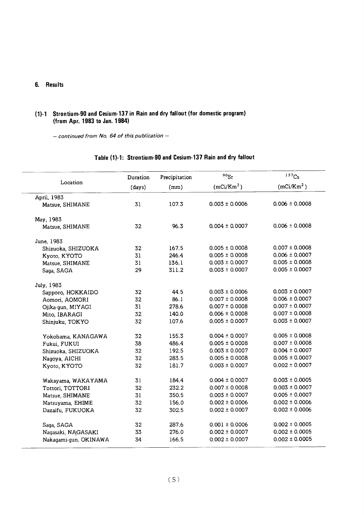## 6. Results

## (1)-1 Strontium-90 and Cesium-137 in Rain and dry fallout (for domestic program) (from Apr. 1983 to Jan. 1984)

 $-$  continued from No. 64 of this publication  $-$ 

|                       | Duration | Precipitation | $^{90}\mathrm{Sr}$     | 137C <sub>S</sub>      |
|-----------------------|----------|---------------|------------------------|------------------------|
| Location              | (days)   | (mm)          | (mCi/Km <sup>2</sup> ) | (mCi/Km <sup>2</sup> ) |
| April, 1983           |          |               |                        |                        |
| Matsue, SHIMANE       | 31       | 107.3         | $0.003 \pm 0.0006$     | $0.006 \pm 0.0008$     |
| May, 1983             |          |               |                        |                        |
| Matsue, SHIMANE       | 32       | 96.3          | $0.004 \pm 0.0007$     | $0.006 \pm 0.0008$     |
| June, 1983            |          |               |                        |                        |
| Shizuoka, SHIZUOKA    | 32       | 167.5         | $0.005 \pm 0.0008$     | $0.007 \pm 0.0008$     |
| Kyoto, KYOTO          | 31       | 246.4         | $0.005 \pm 0.0008$     | $0.006 \pm 0.0007$     |
| Matsue, SHIMANE       | 31       | 136.1         | $0.003 \pm 0.0007$     | $0.005 \pm 0.0008$     |
| Saga, SAGA            | 29       | 311.2         | $0.003 \pm 0.0007$     | $0.005 \pm 0.0007$     |
| July, 1983            |          |               |                        |                        |
| Sapporo, HOKKAIDO     | 32       | 44.5          | $0.003 \pm 0.0006$     | $0.003 \pm 0.0007$     |
| Aomori, AOMORI        | 32       | 86.1          | $0.007 \pm 0.0008$     | $0.006 \pm 0.0007$     |
| Ojika-gun, MIYAGI     | 31       | 278.6         | $0.007 \pm 0.0008$     | $0.007 \pm 0.0007$     |
| Mito, IBARAGI         | 32       | 140.0         | $0.006 \pm 0.0008$     | $0.007 \pm 0.0008$     |
| Shinjuku, TOKYO       | 32       | 107.6         | $0.005 \pm 0.0007$     | $0.003 \pm 0.0007$     |
| Yokohama, KANAGAWA    | 32       | 155.3         | $0.004 \pm 0.0007$     | $0.005 \pm 0.0008$     |
| Fukui, FUKUI          | 38       | 486.4         | $0.005 \pm 0.0008$     | $0.007 \pm 0.0008$     |
| Shizuoka, SHIZUOKA    | 32       | 192.5         | $0.003 \pm 0.0007$     | $0.004 \pm 0.0007$     |
| Nagoya, AICHI         | 32       | 283.5         | $0.005 \pm 0.0008$     | $0.005 \pm 0.0007$     |
| Kyoto, KYOTO          | 32       | 181.7         | $0.003 \pm 0.0007$     | $0.002 \pm 0.0007$     |
| Wakayama, WAKAYAMA    | 31       | 184.4         | $0.004 \pm 0.0007$     | $0.003 \pm 0.0005$     |
| Tottori, TOTTORI      | 32       | 232.2         | $0.007 \pm 0.0008$     | $0.003 \pm 0.0007$     |
| Matsue, SHIMANE       | 31       | 350.5         | $0.003 \pm 0.0007$     | $0.005 \pm 0.0007$     |
| Matsuyama, EHIME      | 32       | 156.0         | $0.002 \pm 0.0006$     | $0.002 \pm 0.0006$     |
| Dazaifu, FUKUOKA      | 32       | 302.5         | $0.002 \pm 0.0007$     | $0.002 \pm 0.0006$     |
| Saga, SAGA            | 32       | 287.6         | $0.001 \pm 0.0006$     | $0.002 \pm 0.0005$     |
| Nagasaki, NAGASAKI    | 33       | 276.0         | $0.002 \pm 0.0007$     | $0.002 \pm 0.0005$     |
| Nakaqami-gun, OKINAWA | 34       | 166.5         | $0.002 \pm 0.0007$     | $0.002 \pm 0.0005$     |

#### Table (1)-1: Strontium-90 and Cesium-137 Rain and dry fallout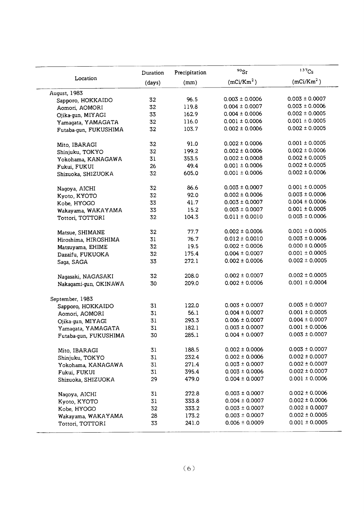|                       | Duration | Precipitation | $90$ Sr                | 137C <sub>S</sub>      |
|-----------------------|----------|---------------|------------------------|------------------------|
| Location              | (days)   | (mm)          | (mCi/Km <sup>2</sup> ) | (mCi/Km <sup>2</sup> ) |
| August, 1983          |          |               |                        |                        |
| Sapporo, HOKKAIDO     | 32       | 96.5          | $0.003 \pm 0.0006$     | $0.003 \pm 0.0007$     |
| Aomori, AOMORI        | 32       | 119.8         | $0.004 \pm 0.0007$     | $0.003 \pm 0.0006$     |
| Ojika-gun, MIYAGI     | 33       | 162.9         | $0.004 \pm 0.0006$     | $0.002 \pm 0.0005$     |
| Yamagata, YAMAGATA    | 32       | 116.0         | $0.001 \pm 0.0006$     | $0.001 \pm 0.0005$     |
| Futaba-gun, FUKUSHIMA | 32       | 103.7         | $0.002 \pm 0.0006$     | $0.002 \pm 0.0005$     |
| Mito, IBARAGI         | 32       | 91.0          | $0.002 \pm 0.0006$     | $0.001 \pm 0.0005$     |
| Shinjuku, TOKYO       | 32       | 199.2         | $0.002 \pm 0.0006$     | $0.002 \pm 0.0006$     |
| Yokohama, KANAGAWA    | 31       | 353.5         | $0.002 \pm 0.0008$     | $0.002 \pm 0.0005$     |
| Fukui, FUKUI          | 26       | 49.4          | $0.001 \pm 0.0006$     | $0.002 \pm 0.0005$     |
| Shizuoka, SHIZUOKA    | 32       | 605.0         | $0.001 \pm 0.0006$     | $0.002 \pm 0.0006$     |
| Nagoya, AICHI         | 32       | 86.6          | $0.003 \pm 0.0007$     | $0.001 \pm 0.0005$     |
| Kyoto, KYOTO          | 32       | 92.0          | $0.002 \pm 0.0006$     | $0.003 \pm 0.0006$     |
| Kobe, HYOGO           | 33       | 41.7          | $0.003 \pm 0.0007$     | $0.004 \pm 0.0006$     |
| Wakayama, WAKAYAMA    | 33       | 15.2          | $0.003 \pm 0.0007$     | $0.001 \pm 0.0005$     |
| Tottori, TOTTORI      | 32       | 104.3         | $0.011 \pm 0.0010$     | $0.003 \pm 0.0006$     |
| Matsue, SHIMANE       | 32       | 77.7          | $0.002 \pm 0.0006$     | $0.001 \pm 0.0005$     |
| Hiroshima, HIROSHIMA  | 31       | 76.7          | $0.012 \pm 0.0010$     | $0.003 \pm 0.0006$     |
| Matsuyama, EHIME      | 32       | 19.5          | $0.002 \pm 0.0006$     | $0.000 \pm 0.0005$     |
| Dazaifu, FUKUOKA      | 32       | 175.4         | $0.004 \pm 0.0007$     | $0.001 \pm 0.0005$     |
| Saga, SAGA            | 33       | 272.1         | $0.002 \pm 0.0006$     | $0.002 \pm 0.0005$     |
| Nagasaki, NAGASAKI    | 32       | 208.0         | $0.002 \pm 0.0007$     | $0.002 \pm 0.0005$     |
| Nakagami-gun, OKINAWA | 30       | 209.0         | $0.002 \pm 0.0006$     | $0.001 \pm 0.0004$     |
| September, 1983       |          |               |                        |                        |
| Sapporo, HOKKAIDO     | 31       | 122.0         | $0.003 \pm 0.0007$     | $0.003 \pm 0.0007$     |
| Aomori, AOMORI        | 31       | 56.1          | $0.004 \pm 0.0007$     | $0.001 \pm 0.0005$     |
| Ojika-qun, MIYAGI     | 31       | 293.3         | $0.006 \pm 0.0007$     | $0.004 \pm 0.0007$     |
| Yamagata, YAMAGATA    | 31       | 182.1         | $0.003 \pm 0.0007$     | $0.001 \pm 0.0006$     |
| Futaba-gun, FUKUSHIMA | 30       | 285.1         | $0.004 \pm 0.0007$     | $0.003 \pm 0.0007$     |
| Mito, IBARAGI         | 31       | 188.5         | $0.002 \pm 0.0006$     | $0.003 \pm 0.0007$     |
| Shinjuku, TOKYO       | 31       | 232.4         | $0.002 \pm 0.0006$     | $0.002 \pm 0.0007$     |
| Yokohama, KANAGAWA    | 31       | 271.4         | $0.003 \pm 0.0007$     | $0.002 \pm 0.0007$     |
| Fukui, FUKUI          | 31       | 395.4         | $0.003 \pm 0.0006$     | $0.002 \pm 0.0007$     |
| Shizuoka, SHIZUOKA    | 29       | 479.0         | $0.004 \pm 0.0007$     | $0.001 \pm 0.0006$     |
| Nagoya, AICHI         | 31       | 272.8         | $0.003 \pm 0.0007$     | $0.002 \pm 0.0006$     |
| Kyoto, KYOTO          | 31       | 333.8         | $0.004 \pm 0.0007$     | $0.002 \pm 0.0006$     |
| Kobe, HYOGO           | 32       | 333.2         | $0.003 \pm 0.0007$     | $0.002 \pm 0.0007$     |
| Wakayama, WAKAYAMA    | 28       | 173.2         | $0.003 \pm 0.0007$     | $0.002 \pm 0.0005$     |
| Tottori, TOTTORI      | 33       | 241.0         | $0.006 \pm 0.0009$     | $0.001 \pm 0.0005$     |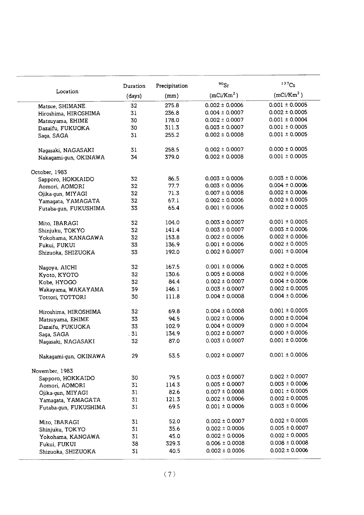|                       | Duration | Precipitation | $90$ Sr                | 137C <sub>S</sub>  |
|-----------------------|----------|---------------|------------------------|--------------------|
| Location              | (days)   | (mm)          | (mCi/Km <sup>2</sup> ) | $(mCi/Km^2)$       |
| Matsue, SHIMANE       | 32       | 275.8         | $0.002 \pm 0.0006$     | $0.001 \pm 0.0005$ |
| Hiroshima, HIROSHIMA  | 31       | 236.8         | $0.004 \pm 0.0007$     | $0.002 \pm 0.0005$ |
| Matsuyama, EHIME      | 30       | 178.0         | $0.002 \pm 0.0007$     | $0.001 \pm 0.0004$ |
| Dazaifu, FUKUOKA      | 30       | 311.3         | $0.003 \pm 0.0007$     | $0.001 \pm 0.0005$ |
| Saga, SAGA            | 31       | 255.2         | $0.002 \pm 0.0008$     | $0.001 \pm 0.0005$ |
|                       |          | 258.5         | $0.002 \pm 0.0007$     | $0.000 \pm 0.0005$ |
| Nagasaki, NAGASAKI    | 31<br>34 | 379.0         | $0.002 \pm 0.0008$     | $0.001 \pm 0.0005$ |
| Nakagami-gun, OKINAWA |          |               |                        |                    |
| October, 1983         |          |               |                        |                    |
| Sapporo, HOKKAIDO     | 32       | 86.5          | $0.003 \pm 0.0006$     | $0.003 \pm 0.0006$ |
| Aomori, AOMORI        | 32       | 77.7          | $0.003 \pm 0.0006$     | $0.004 \pm 0.0006$ |
| Ojika-qun, MIYAGI     | 32       | 71.3          | $0.007 \pm 0.0008$     | $0.002 \pm 0.0006$ |
| Yamagata, YAMAGATA    | 32       | 67.1          | $0.002 \pm 0.0006$     | $0.002 \pm 0.0005$ |
| Futaba-gun, FUKUSHIMA | 33       | 65.4          | $0.001 \pm 0.0006$     | $0.002 \pm 0.0005$ |
| Mito, IBARAGI         | 32       | 104.0         | $0.003 \pm 0.0007$     | $0.001 \pm 0.0005$ |
| Shinjuku, TOKYO       | 32       | 141.4         | $0.003 \pm 0.0007$     | $0.003 \pm 0.0006$ |
| Yokohama, KANAGAWA    | 32       | 153.8         | $0.002 \pm 0.0006$     | $0.002 \pm 0.0006$ |
| Fukui, FUKUI          | 33       | 136.9         | $0.001 \pm 0.0006$     | $0.002 \pm 0.0005$ |
| Shizuoka, SHIZUOKA    | 33       | 192.0         | $0.002 \pm 0.0007$     | $0.001 \pm 0.0004$ |
|                       |          |               |                        | $0.002 \pm 0.0005$ |
| Nagoya, AICHI         | 32       | 167.5         | $0.001 \pm 0.0006$     | $0.002 \pm 0.0006$ |
| Kyoto, KYOTO          | 32       | 130.6         | $0.005 \pm 0.0008$     | $0.004 \pm 0.0006$ |
| Kobe, HYOGO           | 32       | 84.4          | $0.002 \pm 0.0007$     |                    |
| Wakayama, WAKAYAMA    | 39       | 146.1         | $0.003 \pm 0.0007$     | $0.002 \pm 0.0005$ |
| Tottori, TOTTORI      | 30       | 111.8         | $0.004 \pm 0.0008$     | $0.004 \pm 0.0006$ |
| Hiroshima, HIROSHIMA  | 32       | 69.8          | $0.004 \pm 0.0008$     | $0.001 \pm 0.0005$ |
| Matsuyama, EHIME      | 33       | 94.5          | $0.002 \pm 0.0006$     | $0.000 \pm 0.0004$ |
| Dazaifu, FUKUOKA      | 33       | 102.9         | $0.004 \pm 0.0009$     | $0.000 \pm 0.0004$ |
| Saga, SAGA            | .31      | 134.9         | $0.002 \pm 0.0007$     | $0.000 \pm 0.0006$ |
| Nagasaki, NAGASAKI    | 32       | 87.0          | $0.003 \pm 0.0007$     | $0.001 \pm 0.0006$ |
| Nakagami-gun, OKINAWA | 29       | 53.5          | $0.002 \pm 0.0007$     | $0.001 \pm 0.0006$ |
| November, 1983        |          |               |                        |                    |
| Sapporo, HOKKAIDO     | 30       | 79.5          | $0.003 \pm 0.0007$     | $0.002 \pm 0.0007$ |
| Aomori, AOMORI        | 31       | 114.3         | $0.005 \pm 0.0007$     | $0.003 \pm 0.0006$ |
| Ojika-gun, MIYAGI     | 31       | 82.6          | $0.007 \pm 0.0008$     | $0.001 \pm 0.0005$ |
| Yamagata, YAMAGATA    | 31       | 121.3         | $0.002 \pm 0.0006$     | $0.002 \pm 0.0005$ |
| Futaba-qun, FUKUSHIMA | 31       | 69.5          | $0.001 \pm 0.0006$     | $0.003 \pm 0.0006$ |
| Mito, IBARAGI         | 31       | 52.0          | $0.002 \pm 0.0007$     | $0.002 \pm 0.0005$ |
| Shinjuku, TOKYO       | 31       | 35.6          | $0.002 \pm 0.0006$     | $0.005 \pm 0.0007$ |
| Yokohama, KANGAWA     | 31       | 45.0          | $0.002 \pm 0.0006$     | $0.002 \pm 0.0005$ |
|                       | 38       | 329.3         | $0.006 \pm 0.0008$     | $0.008 \pm 0.0008$ |
| Fukui, FUKUI          | 31       | 40.5          | $0.002 \pm 0.0006$     | $0.002 \pm 0.0006$ |
| Shizuoka, SHIZUOKA    |          |               |                        |                    |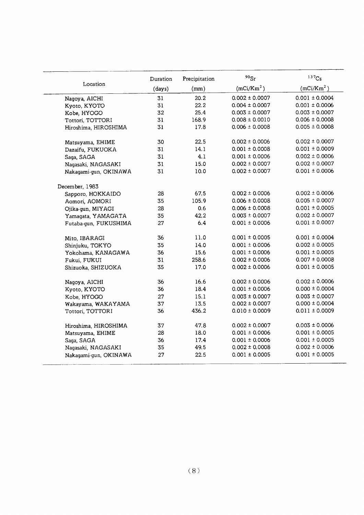|                       | Duration | Precipitation | $90$ Sr                | 137C <sub>S</sub>  |
|-----------------------|----------|---------------|------------------------|--------------------|
| Location              | (days)   | (mm)          | (mCi/Km <sup>2</sup> ) | $(mCi/Km^2)$       |
| Nagoya, AICHI         | 31       | 20.2          | $0.002 \pm 0.0007$     | $0.001 \pm 0.0004$ |
| Kyoto, KYOTO          | 31       | 22.2          | $0.004 \pm 0.0007$     | $0.001 \pm 0.0006$ |
| Kobe, HYOGO           | 32       | 25.4          | $0.003 \pm 0.0007$     | $0.003 \pm 0.0007$ |
| Tottori, TOTTORI      | 31       | 168.9         | $0.008 \pm 0.0010$     | $0.006 \pm 0.0008$ |
| Hiroshima, HIROSHIMA  | 31       | 17.8          | $0.006 \pm 0.0008$     | $0.005 \pm 0.0008$ |
| Matsuyama, EHIME      | 30       | 22.5          | $0.002 \pm 0.0006$     | $0.002 \pm 0.0007$ |
| Dazaifu, FUKUOKA      | 31       | 14.1          | $0.001 \pm 0.0008$     | $0.001 \pm 0.0009$ |
| Saga, SAGA            | 31       | 4.1           | $0.001 \pm 0.0006$     | $0.002 \pm 0.0006$ |
| Nagasaki, NAGASAKI    | 31       | 15.0          | $0.002 \pm 0.0007$     | $0.002 \pm 0.0007$ |
| Nakagami-gun, OKINAWA | 31       | 10.0          | $0.002 \pm 0.0007$     | $0.001 \pm 0.0006$ |
| December, 1983        |          |               |                        |                    |
| Sapporo, HOKKAIDO     | 28       | 67.5          | $0.002 \pm 0.0006$     | $0.002 \pm 0.0006$ |
| Aomori, AOMORI        | 35       | 105.9         | $0.006 \pm 0.0008$     | $0.005 \pm 0.0007$ |
| Ojika-qun, MIYAGI     | 28       | 0.6           | $0.006 \pm 0.0008$     | $0.001 \pm 0.0005$ |
| Yamagata, YAMAGATA    | 35       | 42.2          | $0.003 \pm 0.0007$     | $0.002 \pm 0.0007$ |
| Futaba-gun, FUKUSHIMA | 27       | 6.4           | $0.001 \pm 0.0006$     | $0.001 \pm 0.0007$ |
| Mito, IBARAGI         | 36       | 11.0          | $0.001 \pm 0.0005$     | $0.001 \pm 0.0004$ |
| Shinjuku, TOKYO       | 35       | 14.0          | $0.001 \pm 0.0006$     | $0.002 \pm 0.0005$ |
| Yokohama, KANAGAWA    | 36       | 15.6          | $0.001 \pm 0.0006$     | $0.001 \pm 0.0005$ |
| Fukui, FUKUI          | 31       | 258.6         | $0.002 \pm 0.0006$     | $0.007 \pm 0.0008$ |
| Shizuoka, SHIZUOKA    | 35       | 17.0          | $0.002 \pm 0.0006$     | $0.001 \pm 0.0005$ |
| Nagoya, AICHI         | 36       | 16.6          | $0.002 \pm 0.0006$     | $0.002 \pm 0.0006$ |
| Kyoto, KYOTO          | 36       | 18.4          | $0.001 \pm 0.0006$     | $0.000 \pm 0.0004$ |
| Kobe, HYOGO           | 27       | 15.1          | $0.003 \pm 0.0007$     | $0.003 \pm 0.0007$ |
| Wakayama, WAKAYAMA    | 37       | 13.5          | $0.002 \pm 0.0007$     | $0.000 \pm 0.0004$ |
| Tottori, TOTTORI      | 36       | 436.2         | $0.010 \pm 0.0009$     | $0.011 \pm 0.0009$ |
| Hiroshima, HIROSHIMA  | 37       | 47.8          | $0.002 \pm 0.0007$     | $0.003 \pm 0.0006$ |
| Matsuyama, EHIME      | 28       | 18.0          | $0.001 \pm 0.0006$     | $0.001 \pm 0.0005$ |
| Saga, SAGA            | 36       | 17.4          | $0.001 \pm 0.0006$     | $0.001 \pm 0.0005$ |
| Nagasaki, NAGASAKI    | 35       | 49.5          | $0.002 \pm 0.0008$     | $0.002 \pm 0.0006$ |
| Nakaqami-qun, OKINAWA | 27       | 22.5          | $0.001 \pm 0.0005$     | $0.001 \pm 0.0005$ |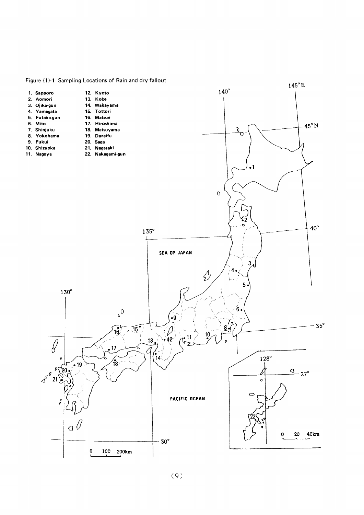

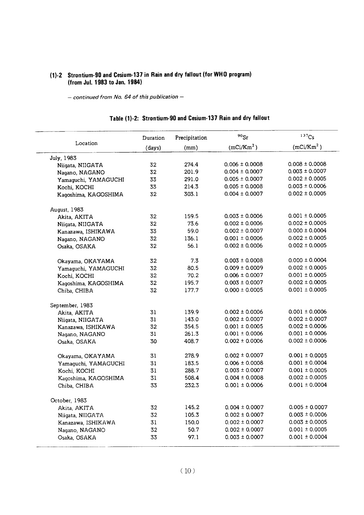## (1)-2 Strontium-90 and Cesium-137 in Rain and dry fallout (for WHO) (from Jul. 1983 to Jan. 1)

- continued from No. 64 of this publication -

| Table (1)-2: Strontium-90 and Cesium-137 Rain and dry fallout |  |  |
|---------------------------------------------------------------|--|--|
|---------------------------------------------------------------|--|--|

|                      | Duration | Precipitation | $90$ Sr                | $137C_S$           |
|----------------------|----------|---------------|------------------------|--------------------|
| Location             | (days)   | (mm)          | (mCi/Km <sup>2</sup> ) | $(mCi/Km^2)$       |
| July, 1983           |          |               |                        |                    |
| Niigata, NIIGATA     | 32       | 274.4         | $0.006 \pm 0.0008$     | $0.008 \pm 0.0008$ |
| Nagano, NAGANO       | 32       | 201.9         | $0.004 \pm 0.0007$     | $0.003 \pm 0.0007$ |
| Yamaguchi, YAMAGUCHI | 33       | 291.0         | $0.005 \pm 0.0007$     | $0.002 \pm 0.0005$ |
| Kochi, KOCHI         | 33       | 214.3         | $0.005 \pm 0.0008$     | $0.003 \pm 0.0006$ |
| Kaqoshima, KAGOSHIMA | 32       | 303.1         | $0.004 \pm 0.0007$     | $0.002 \pm 0.0005$ |
| August, 1983         |          |               |                        |                    |
| Akita, AKITA         | 32       | 159.5         | $0.003 \pm 0.0006$     | $0.001 \pm 0.0005$ |
| Niigata, NIIGATA     | 32       | 73.6          | $0.002 \pm 0.0006$     | $0.002 \pm 0.0005$ |
| Kanazawa, ISHIKAWA   | 33       | 59.0          | $0.002 \pm 0.0007$     | $0.000 \pm 0.0004$ |
| Nagano, NAGANO       | 32       | 136.1         | $0.001 \pm 0.0006$     | $0.002 \pm 0.0005$ |
| Osaka, OSAKA         | 32       | 56.1          | $0.002 \pm 0.0006$     | $0.002 \pm 0.0005$ |
| Okayama, OKAYAMA     | 32       | 7.3           | $0.003 \pm 0.0008$     | $0.000 \pm 0.0004$ |
| Yamaguchi, YAMAGUCHI | 32       | 80.5          | $0.009 \pm 0.0009$     | $0.002 \pm 0.0005$ |
| Kochi, KOCHI         | 32       | 70.2          | $0.006 \pm 0.0007$     | $0.001 \pm 0.0005$ |
| Kagoshima, KAGOSHIMA | 32       | 195.7         | $0.003 \pm 0.0007$     | $0.002 \pm 0.0005$ |
| Chiba, CHIBA         | 32       | 177.7         | $0.000 \pm 0.0005$     | $0.001 \pm 0.0005$ |
| September, 1983      |          |               |                        |                    |
| Akita, AKITA         | 31       | 139.9         | $0.002 \pm 0.0006$     | $0.001 \pm 0.0006$ |
| Niigata, NIIGATA     | 31       | 143.0         | $0.002 \pm 0.0007$     | $0.002 \pm 0.0007$ |
| Kanazawa, ISHIKAWA   | 32       | 354.5         | $0.001 \pm 0.0005$     | $0.002 \pm 0.0006$ |
| Nagano, NAGANO       | 31       | 261.3         | $0.001 \pm 0.0006$     | $0.001 \pm 0.0006$ |
| Osaka, OSAKA         | 30       | 408.7         | $0.002 \pm 0.0006$     | $0.002 \pm 0.0006$ |
| Okayama, OKAYAMA     | 31       | 278.9         | $0.002 \pm 0.0007$     | $0.001 \pm 0.0005$ |
| Yamaguchi, YAMAGUCHI | 31       | 183.5         | $0.006 \pm 0.0008$     | $0.001 \pm 0.0004$ |
| Kochi, KOCHI         | 31       | 288.7         | $0.003 \pm 0.0007$     | $0.001 \pm 0.0005$ |
| Kagoshima, KAGOSHIMA | 31       | 508.4         | $0.004 \pm 0.0008$     | $0.002 \pm 0.0005$ |
| Chiba, CHIBA         | 33       | 232.3         | $0.001 \pm 0.0006$     | $0.001 \pm 0.0004$ |
| October, 1983        |          |               |                        |                    |
| Akita, AKITA         | 32       | 145.2         | $0.004 \pm 0.0007$     | $0.005 \pm 0.0007$ |
| Niigata, NIIGATA     | 32       | 105.3         | $0.002 \pm 0.0007$     | $0.003 \pm 0.0006$ |
| Kanazawa, ISHIKAWA   | 31       | 150.0         | $0.002 \pm 0.0007$     | $0.003 \pm 0.0005$ |
| Nagano, NAGANO       | 32       | 50.7          | $0.002 \pm 0.0007$     | $0.001 \pm 0.0005$ |
| Osaka, OSAKA         | 33       | 97.1          | $0.003 \pm 0.0007$     | $0.001 \pm 0.0004$ |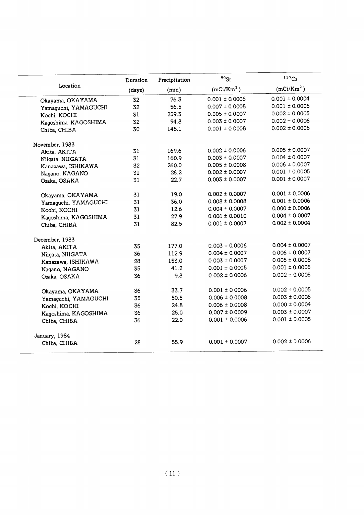|                      | Duration | Precipitation | $90$ Sr                | 137Cs                  |
|----------------------|----------|---------------|------------------------|------------------------|
| Location             | (days)   | (mm)          | (mCi/Km <sup>2</sup> ) | (mCi/Km <sup>2</sup> ) |
| Okayama, OKAYAMA     | 32       | 76.3          | $0.001 \pm 0.0006$     | $0.001 \pm 0.0004$     |
| Yamaquchi, YAMAGUCHI | 32       | 56.5          | $0.007 \pm 0.0008$     | $0.001 \pm 0.0005$     |
| Kochi, KOCHI         | 31       | 259.3         | $0.005 \pm 0.0007$     | $0.002 \pm 0.0005$     |
| Kagoshima, KAGOSHIMA | 32       | 94.8          | $0.003 \pm 0.0007$     | $0.002 \pm 0.0006$     |
| Chiba, CHIBA         | 30       | 148.1         | $0.001 \pm 0.0008$     | $0.002 \pm 0.0006$     |
| November, 1983       |          |               |                        |                        |
| Akita, AKITA         | 31       | 169.6         | $0.002 \pm 0.0006$     | $0.005 \pm 0.0007$     |
| Niigata, NIIGATA     | 31       | 160.9         | $0.003 \pm 0.0007$     | $0.004 \pm 0.0007$     |
| Kanazawa, ISHIKAWA   | 32       | 260.0         | $0.005 \pm 0.0008$     | $0.006 \pm 0.0007$     |
| Nagano, NAGANO       | 31       | 26.2          | $0.002 \pm 0.0007$     | $0.001 \pm 0.0005$     |
| Osaka, OSAKA         | 31       | 22.7          | $0.003 \pm 0.0007$     | $0.001 \pm 0.0007$     |
| Okayama, OKAYAMA     | 31       | 19.0          | $0.002 \pm 0.0007$     | $0.001 \pm 0.0006$     |
| Yamaquchi, YAMAGUCHI | 31       | 36.0          | $0.008 \pm 0.0008$     | $0.001 \pm 0.0006$     |
| Kochi, KOCHI         | 31       | 12.6          | $0.004 \pm 0.0007$     | $0.000 \pm 0.0006$     |
| Kagoshima, KAGOSHIMA | 31       | 27.9          | $0.006 \pm 0.0010$     | $0.004 \pm 0.0007$     |
| Chiba, CHIBA         | 31       | 82.5          | $0.001 \pm 0.0007$     | $0.002 \pm 0.0004$     |
| December, 1983       |          |               |                        |                        |
| Akita, AKITA         | 35       | 177.0         | $0.003 \pm 0.0006$     | $0.004 \pm 0.0007$     |
| Niigata, NIIGATA     | 36       | 112.9         | $0.004 \pm 0.0007$     | $0.006 \pm 0.0007$     |
| Kanazawa, ISHIKAWA   | 28       | 153.0         | $0.003 \pm 0.0007$     | $0.005 \pm 0.0008$     |
| Nagano, NAGANO       | 35       | 41.2          | $0.001 \pm 0.0005$     | $0.001 \pm 0.0005$     |
| Osaka, OSAKA         | 36       | 9.8           | $0.002 \pm 0.0006$     | $0.002 \pm 0.0005$     |
| Okayama, OKAYAMA     | 36       | 33.7          | $0.001 \pm 0.0006$     | $0.002 \pm 0.0005$     |
| Yamaguchi, YAMAGUCHI | 35       | 50.5          | $0.006 \pm 0.0008$     | $0.003 \pm 0.0006$     |
| Kochi, KOCHI         | 36       | 24.8          | $0.006 \pm 0.0008$     | $0.000 \pm 0.0004$     |
| Kagoshima, KAGOSHIMA | 36       | 25.0          | $0.007 \pm 0.0009$     | $0.003 \pm 0.0007$     |
| Chiba, CHIBA         | 36       | 22.0          | $0.001 \pm 0.0006$     | $0.001 \pm 0.0005$     |
| January, 1984        |          |               |                        |                        |
| Chiba, CHIBA         | 28       | 55.9          | $0.001 \pm 0.0007$     | $0.002 \pm 0.0006$     |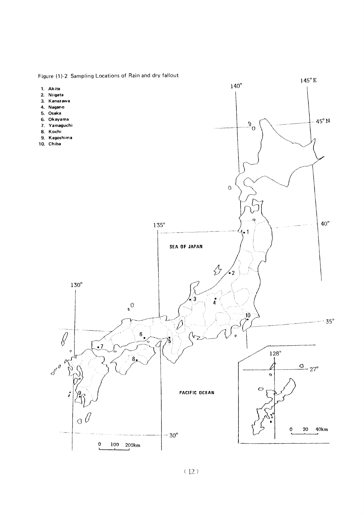Figure (1)-2 Sampling Locations of Rain and dry fallout

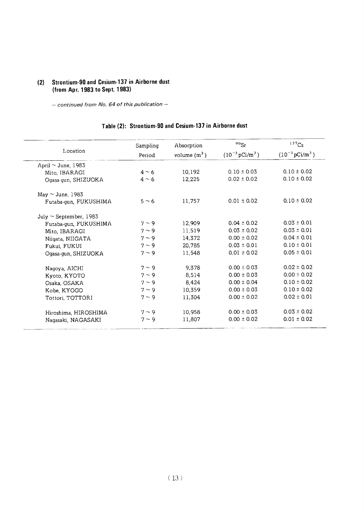## (2) Strontium-90 and Cesium-137 in Airborne dust (fromApr.1983toSept.1983)

- continued from No. 64 of this publication -

# Table (2): Strontium-90 and Cesium-137 in Airborne dust

|                             | Sampling   | Absorption     | $90$ Sr                        | 137C <sub>S</sub>              |  |
|-----------------------------|------------|----------------|--------------------------------|--------------------------------|--|
| Location                    | Period     | volume $(m^3)$ | $(10^{-3} \,\mathrm{pCi/m^3})$ | $(10^{-3} \,\mathrm{pCi/m^3})$ |  |
| April $\sim$ June, 1983     |            |                |                                |                                |  |
| Mito, IBARAGI               | $4 \sim 6$ | 10,192         | $0.10 \pm 0.03$                | $0.10 \pm 0.02$                |  |
| Ogasa-gun, SHIZUOKA         | $4 \sim 6$ | 12,225         | $0.02 \pm 0.02$                | $0.10 \pm 0.02$                |  |
| May $\sim$ June, 1983       |            |                |                                |                                |  |
| Futaba-gun, FUKUSHIMA       | $5 \sim 6$ | 11,757         | $0.01 \pm 0.02$                | $0.10 \pm 0.02$                |  |
| July $\sim$ September, 1983 |            |                |                                |                                |  |
| Futaba-gun, FUKUSHIMA       | $7 \sim 9$ | 12,909         | $0.04 \pm 0.02$                | $0.03 \pm 0.01$                |  |
| Mito, IBARAGI               | $7 \sim 9$ | 11,519         | $0.03 \pm 0.02$                | $0.03 \pm 0.01$                |  |
| Niigata, NIIGATA            | $7 \sim 9$ | 14,372         | $0.00 \pm 0.02$                | $0.04 \pm 0.01$                |  |
| Fukui, FUKUI                | $7 \sim 9$ | 20,785         | $0.03 \pm 0.01$                | $0.10 \pm 0.01$                |  |
| Ogasa-gun, SHIZUOKA         | $7 \sim 9$ | 11,548         | $0.01 \pm 0.02$                | $0.05 \pm 0.01$                |  |
| Nagoya, AICHI               | $7 \sim 9$ | 9.378          | $0.00 \pm 0.03$                | $0.02 \pm 0.02$                |  |
| Kyoto, KYOTO                | $7 \sim 9$ | 8,514          | $0.00 \pm 0.03$                | $0.00 \pm 0.02$                |  |
| Osaka, OSAKA                | $7 \sim 9$ | 8,424          | $0.00 \pm 0.04$                | $0.10 \pm 0.02$                |  |
| Kobe, KYOGO                 | $7 \sim 9$ | 10,359         | $0.00 \pm 0.03$                | $0.10 \pm 0.02$                |  |
| Tottori, TOTTORI            | $7 \sim 9$ | 11,304         | $0.00 \pm 0.02$                | $0.02 \pm 0.01$                |  |
| Hiroshima, HIROSHIMA        | $7 \sim 9$ | 10,958         | $0.00 \pm 0.03$                | $0.03 \pm 0.02$                |  |
| Nagasaki, NAGASAKI          | $7 \sim 9$ | 11,807         | $0.00 \pm 0.02$                | $0.01 \pm 0.02$                |  |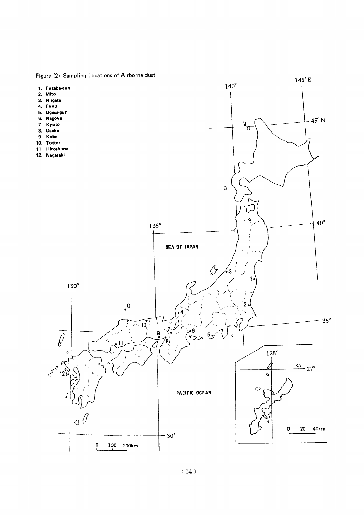Figure (2) Sampling Locations of Airborne dust

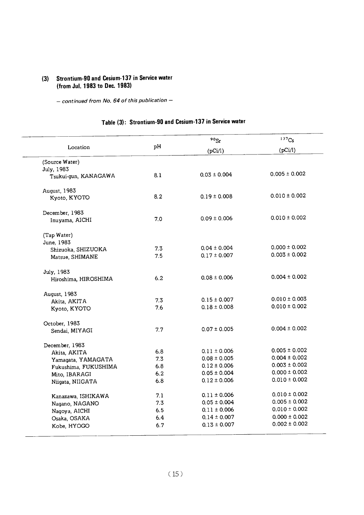## (3) Strontium-90 and Cesium-137 in Service water (from Jul. 1983 to Dec. 1983)

- continued from No. 64 of this publication -

# Table (3): Strontium-90 and Cesium-137 in Service water

|                      |     | $^{90}\mathrm{Sr}$ | $137C_S$          |
|----------------------|-----|--------------------|-------------------|
| Location             | pH  | (pCi/l)            | (pCi/l)           |
| (Source Water)       |     |                    |                   |
| July, 1983           |     |                    |                   |
| Tsukui-gun, KANAGAWA | 8.1 | $0.03 \pm 0.004$   | $0.005 \pm 0.002$ |
| August, 1983         |     |                    |                   |
| Kyoto, KYOTO         | 8.2 | $0.19 \pm 0.008$   | $0.010 \pm 0.002$ |
| December, 1983       |     |                    |                   |
| Inuyama, AICHI       | 7.0 | $0.09 \pm 0.006$   | $0.010 \pm 0.002$ |
| (Tap Water)          |     |                    |                   |
| June, 1983           |     |                    |                   |
| Shizuoka, SHIZUOKA   | 7.3 | $0.04 \pm 0.004$   | $0.000 \pm 0.002$ |
| Matsue, SHIMANE      | 7.5 | $0.17 \pm 0.007$   | $0.003 \pm 0.002$ |
| July, 1983           |     |                    |                   |
| Hiroshima, HIROSHIMA | 6.2 | $0.08 \pm 0.006$   | $0.004 \pm 0.002$ |
| August, 1983         |     |                    |                   |
| Akita, AKITA         | 7.3 | $0.15 \pm 0.007$   | $0.010 \pm 0.003$ |
| Kyoto, KYOTO         | 7.6 | $0.18 \pm 0.008$   | $0.010 \pm 0.002$ |
| October, 1983        |     |                    |                   |
| Sendai, MIYAGI       | 7.7 | $0.07 \pm 0.005$   | $0.004 \pm 0.002$ |
| December, 1983       |     |                    |                   |
| Akita, AKITA         | 6.8 | $0.11 \pm 0.006$   | $0.005 \pm 0.002$ |
| Yamagata, YAMAGATA   | 7.3 | $0.08 \pm 0.005$   | $0.004 \pm 0.002$ |
| Fukushima, FUKUSHIMA | 6.8 | $0.12 \pm 0.006$   | $0.003 \pm 0.002$ |
| Mito, IBARAGI        | 6.2 | $0.05 \pm 0.004$   | $0.000 \pm 0.002$ |
| Niigata, NIIGATA     | 6.8 | $0.12 \pm 0.006$   | $0.010 \pm 0.002$ |
| Kanazawa, ISHIKAWA   | 7.1 | $0.11 \pm 0.006$   | $0.010 \pm 0.002$ |
| Nagano, NAGANO       | 7.3 | $0.05 \pm 0.004$   | $0.005 \pm 0.002$ |
| Nagoya, AICHI        | 6.5 | $0.11 \pm 0.006$   | $0.010 \pm 0.002$ |
| Osaka, OSAKA         | 6.4 | $0.14 \pm 0.007$   | $0.000 \pm 0.002$ |
| Kobe, HYOGO          | 6.7 | $0.13 \pm 0.007$   | $0.002 \pm 0.002$ |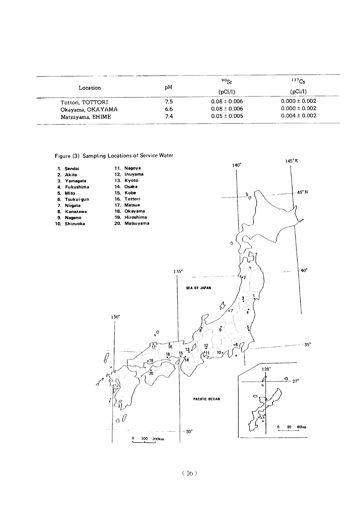|                  |     | $90$ Sr          | 137C <sub>S</sub> |
|------------------|-----|------------------|-------------------|
| Location         | рH  | (pCi/l)          | (pCi/l)           |
| Tottori, TOTTORI | 7.5 | $0.08 \pm 0.006$ | $0.000 \pm 0.002$ |
| Okayama, OKAYAMA | 6.6 | $0.08 \pm 0.006$ | $0.000 \pm 0.002$ |
| Matsuyama, EHIME | 7.4 | $0.05 \pm 0.005$ | $0.004 \pm 0.002$ |

Figure (3) Sampling Locations of Service Water

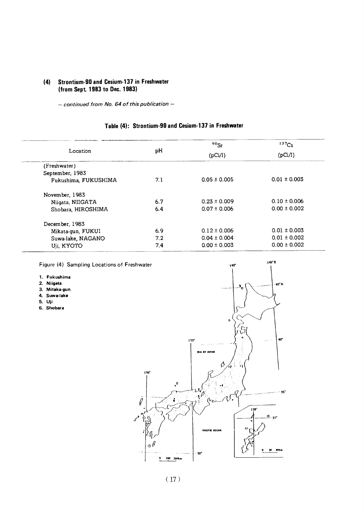#### (4) Strontium-90 and Cesium-137 in Freshwater (from Sept. 1983 to Dec. 1983)

- continued from No. 64 of this publication -

## Table (4): Strontium-90 and Cesium-137 in Freshwater

|                      |     | $90$ Sr          | 137C <sub>S</sub><br>(pCi/l) |  |
|----------------------|-----|------------------|------------------------------|--|
| Location             | рH  | (pCi/l)          |                              |  |
| (Freshwater)         |     |                  |                              |  |
| September, 1983      |     |                  |                              |  |
| Fukushima, FUKUSHIMA | 7.1 | $0.05 \pm 0.005$ | $0.01 \pm 0.003$             |  |
| November, 1983       |     |                  |                              |  |
| Niigata, NIIGATA     | 6.7 | $0.23 \pm 0.009$ | $0.10 \pm 0.006$             |  |
| Shobara, HIROSHIMA   | 6.4 | $0.07 \pm 0.006$ | $0.00 \pm 0.002$             |  |
| December, 1983       |     |                  |                              |  |
| Mikata-gun, FUKUI    | 6.9 | $0.12 \pm 0.006$ | $0.01 \pm 0.003$             |  |
| Suwa-lake, NAGANO    | 7.2 | $0.04 \pm 0.004$ | $0.01 \pm 0.002$             |  |
| Uji, KYOTO           | 7.4 | $0.00 \pm 0.003$ | $0.00 \pm 0.002$             |  |

Figure (4) Sampling Locations of Freshwater

- 1. Fukushima
- 2. Niigata
- 3. Mitaka-gun
- 4. Suwa-lake
- 5.Uji
- 6.Shobara



145°E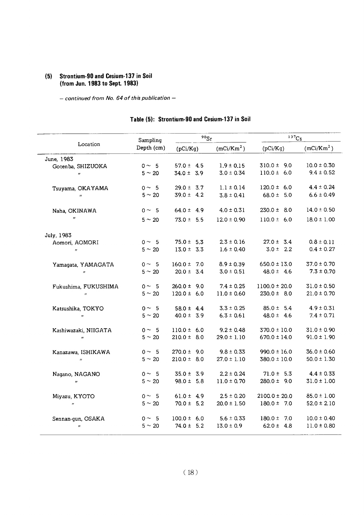## (5) Strontium-90 and Cesium-137 in Soil (from Jun. 1983 to Sept. 1983)

 $-$  continued from No. 64 of this publication  $-$ 

| Location                    | Sampling    |                 | $90$ Sr |                        | 137C <sub>S</sub> |                        |  |
|-----------------------------|-------------|-----------------|---------|------------------------|-------------------|------------------------|--|
|                             | Depth (cm)  | (pCi/Kg)        |         | (mCi/Km <sup>2</sup> ) | (pCi/Kg)          | (mCi/Km <sup>2</sup> ) |  |
| June, 1983                  |             |                 |         |                        |                   |                        |  |
| Gotenba, SHIZUOKA           | $0 \sim 5$  | $57.0 \pm 4.5$  |         | $1.9 \pm 0.15$         | $310.0 \pm 9.0$   | $10.0 \pm 0.30$        |  |
| $\boldsymbol{H}$            | $5 \sim 20$ | $34.0 \pm 3.9$  |         | $3.0 \pm 0.34$         | $110.0 \pm 6.0$   | $9.4 \pm 0.52$         |  |
| Tsuyama, OKAYAMA            | $0 \sim 5$  | $29.0 \pm 3.7$  |         | $1.1 \pm 0.14$         | $120.0 \pm 6.0$   | $4.4 \pm 0.24$         |  |
| $\boldsymbol{H}$            | $5 \sim 20$ | $39.0 \pm 4.2$  |         | $3.8 \pm 0.41$         | 68.0 $\pm$ 5.0    | $6.6 \pm 0.49$         |  |
| Naha, OKINAWA               | $0 \sim 5$  | 64.0 $\pm$ 4.9  |         | $4.0 \pm 0.31$         | $230.0 \pm 8.0$   | $14.0 \pm 0.50$        |  |
| $\boldsymbol{H}$            | $5 \sim 20$ | $73.0 \pm 5.5$  |         | $12.0 \pm 0.90$        | $110.0 \pm 6.0$   | $18.0 \pm 1.00$        |  |
| July, 1983                  |             |                 |         |                        |                   |                        |  |
| Aomori, AOMORI              | $0 \sim 5$  | $75.0 \pm 5.3$  |         | $2.3 \pm 0.16$         | $27.0 \pm 3.4$    | $0.8 \pm 0.11$         |  |
| $\boldsymbol{\prime\prime}$ | $5 \sim 20$ | $13.0 \pm 3.3$  |         | $1.6 \pm 0.40$         | $3.0 \pm 2.2$     | $0.4 \pm 0.27$         |  |
| Yamagata, YAMAGATA          | $0 \sim 5$  | $160.0 \pm 7.0$ |         | $8.9 \pm 0.39$         | $650.0 \pm 13.0$  | $37.0 \pm 0.70$        |  |
| $\boldsymbol{\mu}$          | $5 \sim 20$ | $20.0 \pm 3.4$  |         | $3.0 \pm 0.51$         | $48.0 \pm 4.6$    | $7.3 \pm 0.70$         |  |
| Fukushima, FUKUSHIMA        | $0 \sim 5$  | $260.0 \pm 9.0$ |         | $7.4 \pm 0.25$         | $1100.0 \pm 20.0$ | $31.0 \pm 0.50$        |  |
| $\boldsymbol{H}$            | $5 \sim 20$ | $120.0 \pm 6.0$ |         | $11.0 \pm 0.60$        | $230.0 \pm 8.0$   | $21.0 \pm 0.70$        |  |
| Katsushika, TOKYO           | $0 \sim 5$  | 58.0 $\pm$ 4.4  |         | $3.3 \pm 0.25$         | $85.0 \pm 5.4$    | $4.9 \pm 0.31$         |  |
| $\boldsymbol{n}$            | $5 \sim 20$ | $40.0 \pm 3.9$  |         | $6.3 \pm 0.61$         | $48.0 \pm 4.6$    | $7.4 \pm 0.71$         |  |
| Kashiwazaki, NIIGATA        | $0 \sim 5$  | $110.0 \pm 6.0$ |         | $9.2 \pm 0.48$         | $370.0 \pm 10.0$  | $31.0 \pm 0.90$        |  |
| $\boldsymbol{\eta}$         | $5 \sim 20$ | $210.0 \pm 8.0$ |         | $29.0 \pm 1.10$        | $670.0 \pm 14.0$  | $91.0 \pm 1.90$        |  |
| Kanazawa, ISHIKAWA          | $0 \sim 5$  | $270.0 \pm 9.0$ |         | $9.8 \pm 0.33$         | $990.0 \pm 16.0$  | $36.0 \pm 0.60$        |  |
| $\boldsymbol{\mu}$          | $5 \sim 20$ | $210.0 \pm 8.0$ |         | $27.0 \pm 1.10$        | $380.0 \pm 10.0$  | $50.0 \pm 1.30$        |  |
| Nagano, NAGANO              | $0 \sim 5$  | $35.0 \pm 3.9$  |         | $2.2 \pm 0.24$         | $71.0 \pm 5.3$    | $4.4 \pm 0.33$         |  |
| $\boldsymbol{H}$            | $5 \sim 20$ | $98.0 \pm 5.8$  |         | $11.0 \pm 0.70$        | $280.0 \pm 9.0$   | $31.0 \pm 1.00$        |  |
| Miyazu, KYOTO               | $0 \sim 5$  | 61.0 ± 4.9      |         | $2.5 \pm 0.20$         | $2100.0 \pm 20.0$ | $85.0 \pm 1.00$        |  |
| $\boldsymbol{n}$            | $5 \sim 20$ | $70.0 \pm 5.2$  |         | $20.0 \pm 1.50$        | $180.0 \pm 7.0$   | $52.0 \pm 2.10$        |  |
| Sennan-gun, OSAKA           | $0 \sim 5$  | $100.0 \pm 6.0$ |         | $5.6 \pm 0.33$         | $180.0 \pm 7.0$   | $10.0 \pm 0.40$        |  |
| $^{\prime\prime}$           | $5 \sim 20$ | $74.0 \pm 5.2$  |         | $13.0 \pm 0.9$         | 62.0 ± 4.8        | $11.0 \pm 0.80$        |  |

## Table (5): Strontium-90 and Cesium-137 in Soil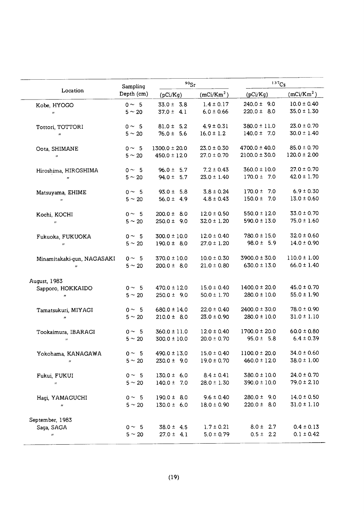|                            | Sampling    | $^{90}\mathrm{Sr}$ |                        | 137C <sub>S</sub> |                        |  |
|----------------------------|-------------|--------------------|------------------------|-------------------|------------------------|--|
| Location                   | Depth (cm)  | (pCi/Kg)           | (mCi/Km <sup>2</sup> ) | (pCi/Kg)          | (mCi/Km <sup>2</sup> ) |  |
| Kobe, HYOGO                | $0 \sim 5$  | $33.0 \pm 3.8$     | $1.4 \pm 0.17$         | $240.0 \pm 9.0$   | $10.0 \pm 0.40$        |  |
| $\boldsymbol{n}$           | $5 \sim 20$ | $37.0 \pm 4.1$     | $6.0 \pm 0.66$         | $220.0 \pm 8.0$   | $35.0 \pm 1.30$        |  |
| Tottori, TOTTORI           | $0 \sim 5$  | $81.0 \pm 5.2$     | $4.9 \pm 0.31$         | $380.0 \pm 11.0$  | $23.0 \pm 0.70$        |  |
| $^{\prime\prime}$          | $5 \sim 20$ | $76.0 \pm 5.6$     | $16.0 \pm 1.2$         | $140.0 \pm 7.0$   | $30.0 \pm 1.40$        |  |
| Oota, SHIMANE              | $0 \sim 5$  | $1300.0 \pm 20.0$  | $23.0 \pm 0.30$        | $4700.0 \pm 40.0$ | $85.0 \pm 0.70$        |  |
| $\boldsymbol{n}$           | $5 \sim 20$ | $450.0 \pm 12.0$   | $27.0 \pm 0.70$        | $2100.0 \pm 30.0$ | $120.0 \pm 2.00$       |  |
| Hiroshima, HIROSHIMA       | $0 \sim 5$  | $96.0 \pm 5.7$     | $7.2 \pm 0.43$         | $360.0 \pm 10.0$  | $27.0 \pm 0.70$        |  |
| $^{\prime\prime}$          | $5 \sim 20$ | $94.0 \pm 5.7$     | $23.0 \pm 1.40$        | $170.0 \pm 7.0$   | $42.0 \pm 1.70$        |  |
| Matsuyama, EHIME           | $0 \sim 5$  | $93.0 \pm 5.8$     | $3.8 \pm 0.24$         | $170.0 \pm 7.0$   | $6.9 \pm 0.30$         |  |
| $^{\prime\prime}$          | $5 \sim 20$ | 56.0 $\pm$ 4.9     | $4.8 \pm 0.43$         | $150.0 \pm 7.0$   | $13.0 \pm 0.60$        |  |
| Kochi, KOCHI               | $0 \sim 5$  | $200.0 \pm 8.0$    | $12.0 \pm 0.50$        | $550.0 \pm 12.0$  | $33.0 \pm 0.70$        |  |
| $\boldsymbol{\eta}$        | $5 \sim 20$ | $250.0 \pm 9.0$    | $32.0 \pm 1.20$        | $590.0 \pm 13.0$  | $75.0 \pm 1.60$        |  |
| Fukuoka, FUKUOKA           | $0 \sim 5$  | $300.0 \pm 10.0$   | $12.0 \pm 0.40$        | $780.0 \pm 15.0$  | $32.0 \pm 0.60$        |  |
| $\pmb{\cdot}$              | $5 \sim 20$ | $190.0 \pm 8.0$    | $27.0 \pm 1.20$        | $98.0 \pm 5.9$    | $14.0 \pm 0.90$        |  |
| Minamitakaki-gun, NAGASAKI | $0 \sim 5$  | $370.0 \pm 10.0$   | $10.0 \pm 0.30$        | $3900.0 \pm 30.0$ | $110.0 \pm 1.00$       |  |
| 11                         | $5 \sim 20$ | $200.0 \pm 8.0$    | $21.0 \pm 0.80$        | $630.0 \pm 13.0$  | $66.0 \pm 1.40$        |  |
| August, 1983               |             |                    |                        |                   |                        |  |
| Sapporo, HOKKAIDO          | $0 \sim 5$  | $470.0 \pm 12.0$   | $15.0 \pm 0.40$        | $1400.0 \pm 20.0$ | $45.0 \pm 0.70$        |  |
| $^{\prime\prime}$          | $5 \sim 20$ | $250.0 \pm 9.0$    | $50.0 \pm 1.70$        | $280.0 \pm 10.0$  | $55.0 \pm 1.90$        |  |
| Tamatsukuri, MIYAGI        | $0 \sim 5$  | $680.0 \pm 14.0$   | $22.0 \pm 0.40$        | $2400.0 \pm 30.0$ | $78.0 \pm 0.90$        |  |
| $^{\prime\prime}$          | $5 \sim 20$ | $210.0 \pm 8.0$    | $23.0 \pm 0.90$        | $280.0 \pm 10.0$  | $31.0 \pm 1.10$        |  |
| Tookaimura, IBARAGI        | $0 \sim 5$  | $360.0 \pm 11.0$   | $12.0 \pm 0.40$        | $1700.0 \pm 20.0$ | $60.0 \pm 0.80$        |  |
| $\pmb{\mathcal{H}}$        | $5 \sim 20$ | $300.0 \pm 10.0$   | $20.0 \pm 0.70$        | $95.0 \pm 5.8$    | $6.4 \pm 0.39$         |  |
| Yokohama, KANAGAWA         | $0 \sim 5$  | $490.0 \pm 13.0$   | $15.0 \pm 0.40$        | $1100.0 \pm 20.0$ | $34.0 \pm 0.60$        |  |
| $\boldsymbol{\mu}$         | $5 \sim 20$ | $230.0 \pm 9.0$    | $19.0 \pm 0.70$        | $460.0 \pm 12.0$  | $38.0 \pm 1.00$        |  |
| Fukui, FUKUI               | $0 \sim 5$  | $130.0 \pm 6.0$    | $8.4 \pm 0.41$         | $380.0 \pm 10.0$  | $24.0 \pm 0.70$        |  |
| $\boldsymbol{\mathcal{H}}$ | $5 \sim 20$ | $140.0 \pm 7.0$    | $28.0 \pm 1.30$        | $390.0 \pm 10.0$  | $79.0 \pm 2.10$        |  |
| Haqi, YAMAGUCHI            | $0 \sim 5$  | $190.0 \pm 8.0$    | $9.6 \pm 0.40$         | $280.0 \pm 9.0$   | $14.0 \pm 0.50$        |  |
| $\pmb{\eta}$               | $5 \sim 20$ | $130.0 \pm 6.0$    | $18.0 \pm 0.90$        | $220.0 \pm 8.0$   | $31.0 \pm 1.10$        |  |
| September, 1983            |             |                    |                        |                   |                        |  |
| Saga, SAGA                 | $0 \sim 5$  | $38.0 \pm 4.5$     | $1.7 \pm 0.21$         | $8.0 \pm 2.7$     | $0.4 \pm 0.13$         |  |
| $\boldsymbol{n}$           | $5 \sim 20$ | $27.0 \pm 4.1$     | $5.0 \pm 0.79$         | $0.5 \pm 2.2$     | $0.1 \pm 0.42$         |  |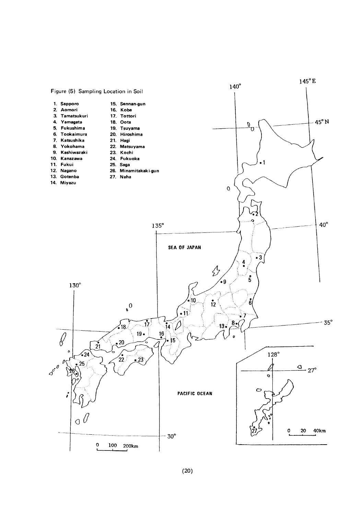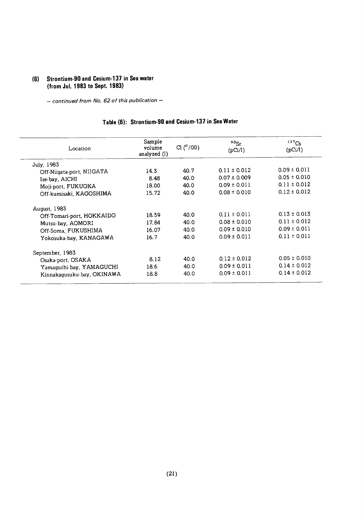## (6) Strontium-90 and Cesium-137 in Sea water (from Jul. 1983 to Sept. 1983)

- continued from No. 62 of this publication --

## Table (6): Strontium-90 and Cesium-137 in Sea Water

| Location                   | Sample<br>volume<br>analyzed (l) | Cl $(^{0}/00)$ | 90 <sub>Sr</sub><br>(pCi/l) | $137C_S$<br>(pCi/l) |
|----------------------------|----------------------------------|----------------|-----------------------------|---------------------|
| July, 1983                 |                                  |                |                             |                     |
| Off-Niigata-port, NIIGATA  | 14.3                             | 40.7           | $0.11 \pm 0.012$            | $0.09 \pm 0.011$    |
| Ise-bay, AICHI             | 8.48                             | 40.0           | $0.07 \pm 0.009$            | $0.05 \pm 0.010$    |
| Moji-port, FUKUOKA         | 18.00                            | 40.0           | $0.09 \pm 0.011$            | $0.11 \pm 0.012$    |
| Off-kumisaki, KAGOSHIMA    | 15.72                            | 40.0           | $0.08 \pm 0.010$            | $0.12 \pm 0.012$    |
| August, 1983               |                                  |                |                             |                     |
| Off-Tomari-port, HOKKAIDO  | 18.59                            | 40.0           | $0.11 \pm 0.011$            | $0.13 \pm 0.013$    |
| Mutsu-bay, AOMORI          | 17.84                            | 40.0           | $0.08 \pm 0.010$            | $0.11 \pm 0.012$    |
| Off-Soma, FUKUSHIMA        | 16.07                            | 40.0           | $0.09 \pm 0.010$            | $0.09 \pm 0.011$    |
| Yokosuka-bay, KANAGAWA     | 16.7                             | 40.0           | $0.09 \pm 0.011$            | $0.11 \pm 0.011$    |
| September, 1983            |                                  |                |                             |                     |
| Osaka-port, OSAKA          | 8.12                             | 40.0           | $0.12 \pm 0.012$            | $0.05 \pm 0.010$    |
| Yamaguchi-bay, YAMAGUCHI   | 18.6                             | 40.0           | $0.09 \pm 0.011$            | $0.14 \pm 0.012$    |
| Kinnakagusuku-bay, OKINAWA | 18.8                             | 40.0           | $0.09 \pm 0.011$            | $0.14 \pm 0.012$    |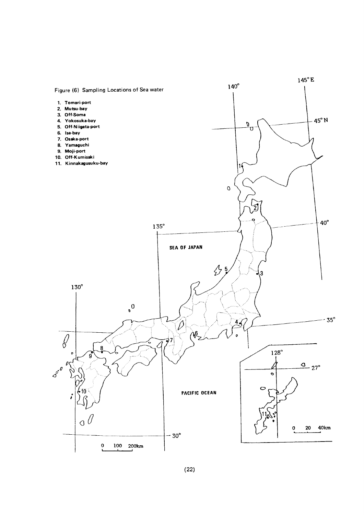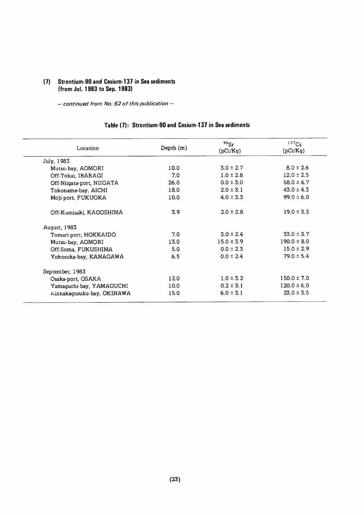## (7) Strontium-90 and Cesium-137 in Sea sediments (from Jul. 1983 to Sep. 1983)

 $-$  continued from No. 62 of this publication  $-$ 

## Table (7): Strontium-90 and Cesium-137 in Sea sediments

| Location                   | Depth $(m)$       | $90$ Sr<br>(pCi/Kg) | $137C_S$<br>(pCi/Kg) |
|----------------------------|-------------------|---------------------|----------------------|
| July, 1983                 |                   |                     |                      |
| Mutsu-bay, AOMORI          | 10.0              | $3.0 \pm 2.7$       | $8.0 \pm 2.6$        |
| Off-Tokai, IBARAGI         | 7.0               | $1.0 \pm 2.8$       | $12.0 \pm 2.5$       |
| Off-Niigata-port, NIIGATA  | 26.0              | $0.0 \pm 3.0$       | 58.0 $\pm$ 4.7       |
| Tokoname-bay, AICHI        | 18.0              | $2.0 \pm 3.1$       | $43.0 \pm 4.3$       |
| Moji port, FUKUOKA         | 10.0 <sub>1</sub> | $4.0 \pm 3.3$       | $99.0 \pm 6.0$       |
| Off-Kumisaki, KAGOSHIMA    | 3,9               | $2.0 \pm 2.8$       | $19.0 \pm 3.3$       |
| August, 1983               |                   |                     |                      |
| Tomari-port, HOKKAIDO      | 7.0               | $3.0 \pm 2.4$       | $33.0 \pm 3.7$       |
| Mutsu-bay, AOMORI          | 13.0              | $15.0 \pm 3.9$      | $190.0 \pm 8.0$      |
| Off-Soma, FUKUSHIMA        | 5.0               | $0.0 \pm 2.3$       | $15.0 \pm 2.9$       |
| Yokosuka-bay, KANAGAWA     | 6.5               | $0.0 \pm 2.4$       | $79.0 \pm 5.4$       |
| September, 1983            |                   |                     |                      |
| Osaka-port, OSAKA          | 120               | $1.0 \pm 3.2$       | $150.0 \pm 7.0$      |
| Yamaguchi-bay, YAMAGUCHI   | 10.0 <sub>1</sub> | $0.2 \pm 3.1$       | $120.0 \pm 6.0$      |
| Kinnakagusuku-bay, OKINAWA | 15.0              | $6.0 \pm 3.1$       | $23.0 \pm 3.5$       |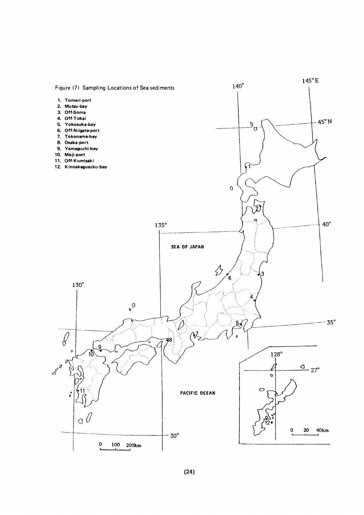